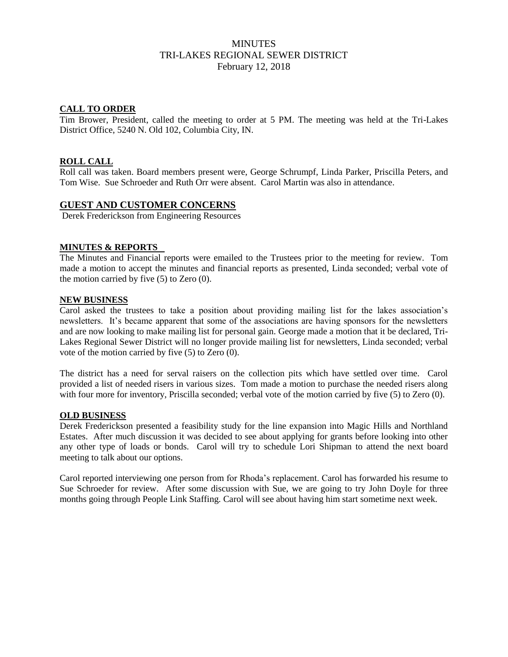# MINUTES TRI-LAKES REGIONAL SEWER DISTRICT February 12, 2018

### **CALL TO ORDER**

Tim Brower, President, called the meeting to order at 5 PM. The meeting was held at the Tri-Lakes District Office, 5240 N. Old 102, Columbia City, IN.

### **ROLL CALL**

Roll call was taken. Board members present were, George Schrumpf, Linda Parker, Priscilla Peters, and Tom Wise. Sue Schroeder and Ruth Orr were absent. Carol Martin was also in attendance.

## **GUEST AND CUSTOMER CONCERNS**

Derek Frederickson from Engineering Resources

#### **MINUTES & REPORTS**

The Minutes and Financial reports were emailed to the Trustees prior to the meeting for review. Tom made a motion to accept the minutes and financial reports as presented, Linda seconded; verbal vote of the motion carried by five (5) to Zero (0).

#### **NEW BUSINESS**

Carol asked the trustees to take a position about providing mailing list for the lakes association's newsletters. It's became apparent that some of the associations are having sponsors for the newsletters and are now looking to make mailing list for personal gain. George made a motion that it be declared, Tri-Lakes Regional Sewer District will no longer provide mailing list for newsletters, Linda seconded; verbal vote of the motion carried by five (5) to Zero (0).

The district has a need for serval raisers on the collection pits which have settled over time. Carol provided a list of needed risers in various sizes. Tom made a motion to purchase the needed risers along with four more for inventory, Priscilla seconded; verbal vote of the motion carried by five (5) to Zero (0).

#### **OLD BUSINESS**

Derek Frederickson presented a feasibility study for the line expansion into Magic Hills and Northland Estates. After much discussion it was decided to see about applying for grants before looking into other any other type of loads or bonds. Carol will try to schedule Lori Shipman to attend the next board meeting to talk about our options.

Carol reported interviewing one person from for Rhoda's replacement. Carol has forwarded his resume to Sue Schroeder for review. After some discussion with Sue, we are going to try John Doyle for three months going through People Link Staffing. Carol will see about having him start sometime next week.